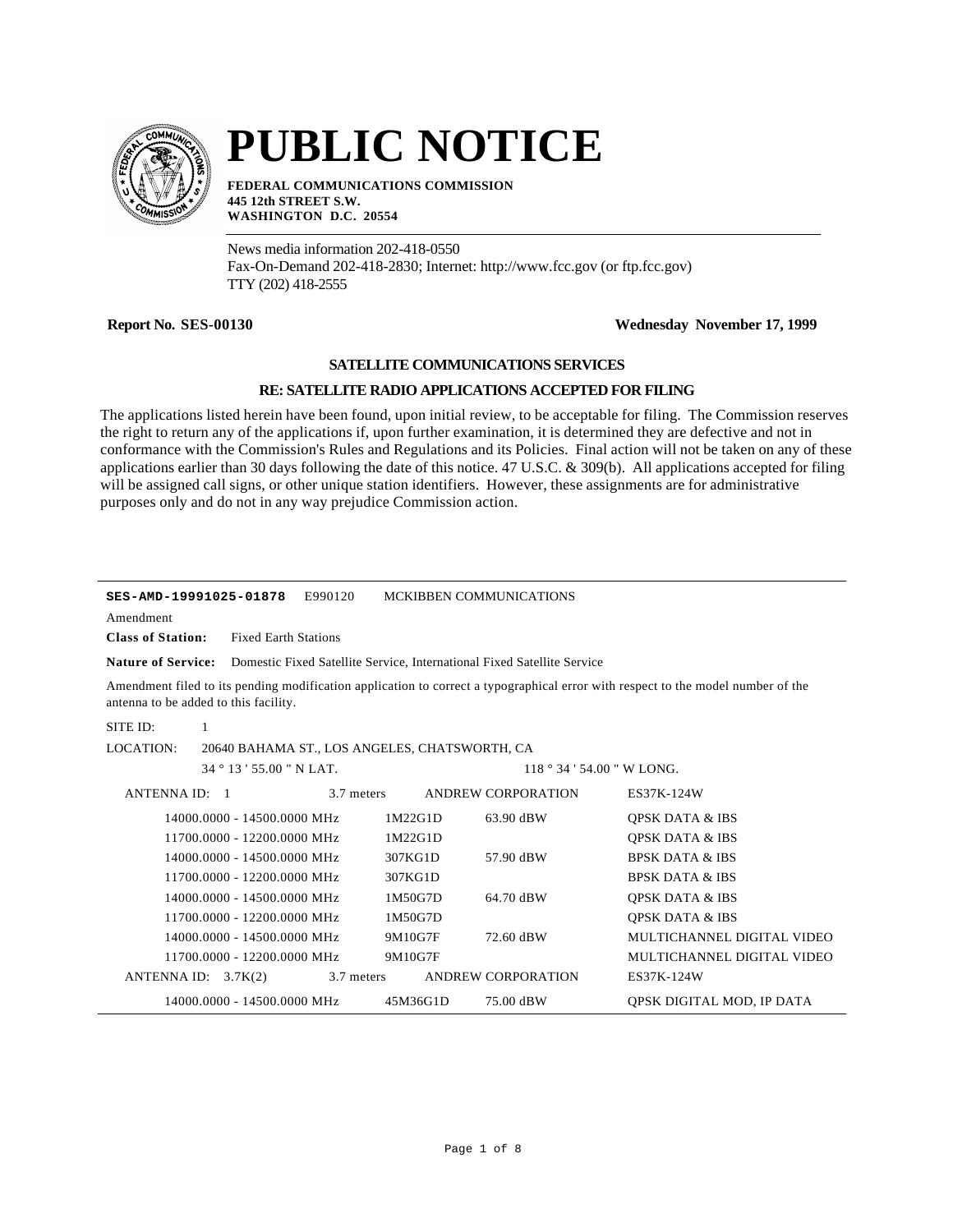

# **PUBLIC NOTICE**

**FEDERAL COMMUNICATIONS COMMISSION 445 12th STREET S.W. WASHINGTON D.C. 20554**

News media information 202-418-0550 Fax-On-Demand 202-418-2830; Internet: http://www.fcc.gov (or ftp.fcc.gov) TTY (202) 418-2555

## **Report No. SES-00130 Wednesday November 17, 1999**

### **SATELLITE COMMUNICATIONS SERVICES**

### **RE: SATELLITE RADIO APPLICATIONS ACCEPTED FOR FILING**

The applications listed herein have been found, upon initial review, to be acceptable for filing. The Commission reserves the right to return any of the applications if, upon further examination, it is determined they are defective and not in conformance with the Commission's Rules and Regulations and its Policies. Final action will not be taken on any of these applications earlier than 30 days following the date of this notice. 47 U.S.C. & 309(b). All applications accepted for filing will be assigned call signs, or other unique station identifiers. However, these assignments are for administrative purposes only and do not in any way prejudice Commission action.

| E990120<br><b>MCKIBBEN COMMUNICATIONS</b><br>SES-AMD-19991025-01878                                                                                                       |                                               |            |          |                                                                                                   |                            |
|---------------------------------------------------------------------------------------------------------------------------------------------------------------------------|-----------------------------------------------|------------|----------|---------------------------------------------------------------------------------------------------|----------------------------|
| Amendment                                                                                                                                                                 |                                               |            |          |                                                                                                   |                            |
| <b>Class of Station:</b>                                                                                                                                                  | <b>Fixed Earth Stations</b>                   |            |          |                                                                                                   |                            |
|                                                                                                                                                                           |                                               |            |          | <b>Nature of Service:</b> Domestic Fixed Satellite Service, International Fixed Satellite Service |                            |
| Amendment filed to its pending modification application to correct a typographical error with respect to the model number of the<br>antenna to be added to this facility. |                                               |            |          |                                                                                                   |                            |
| SITE ID:<br>1                                                                                                                                                             |                                               |            |          |                                                                                                   |                            |
| LOCATION:                                                                                                                                                                 | 20640 BAHAMA ST., LOS ANGELES, CHATSWORTH, CA |            |          |                                                                                                   |                            |
|                                                                                                                                                                           | $34^{\circ}$ 13 ' 55.00 " N LAT.              |            |          | $118°34'54.00''$ W LONG.                                                                          |                            |
| ANTENNA ID: 1                                                                                                                                                             |                                               | 3.7 meters |          | ANDREW CORPORATION                                                                                | ES37K-124W                 |
|                                                                                                                                                                           | 14000.0000 - 14500.0000 MHz                   |            | 1M22G1D  | 63.90 dBW                                                                                         | <b>QPSK DATA &amp; IBS</b> |
|                                                                                                                                                                           | 11700.0000 - 12200.0000 MHz                   |            | 1M22G1D  |                                                                                                   | <b>OPSK DATA &amp; IBS</b> |
|                                                                                                                                                                           | 14000.0000 - 14500.0000 MHz                   |            | 307KG1D  | 57.90 dBW                                                                                         | <b>BPSK DATA &amp; IBS</b> |
|                                                                                                                                                                           | 11700.0000 - 12200.0000 MHz                   |            | 307KG1D  |                                                                                                   | <b>BPSK DATA &amp; IBS</b> |
|                                                                                                                                                                           | 14000.0000 - 14500.0000 MHz                   |            | 1M50G7D  | 64.70 dBW                                                                                         | <b>QPSK DATA &amp; IBS</b> |
|                                                                                                                                                                           | 11700.0000 - 12200.0000 MHz                   |            | 1M50G7D  |                                                                                                   | <b>QPSK DATA &amp; IBS</b> |
|                                                                                                                                                                           | 14000.0000 - 14500.0000 MHz                   |            | 9M10G7F  | 72.60 dBW                                                                                         | MULTICHANNEL DIGITAL VIDEO |
|                                                                                                                                                                           | 11700.0000 - 12200.0000 MHz                   |            | 9M10G7F  |                                                                                                   | MULTICHANNEL DIGITAL VIDEO |
| ANTENNA ID: $3.7K(2)$                                                                                                                                                     |                                               | 3.7 meters |          | ANDREW CORPORATION                                                                                | ES37K-124W                 |
|                                                                                                                                                                           | 14000.0000 - 14500.0000 MHz                   |            | 45M36G1D | 75.00 dBW                                                                                         | QPSK DIGITAL MOD, IP DATA  |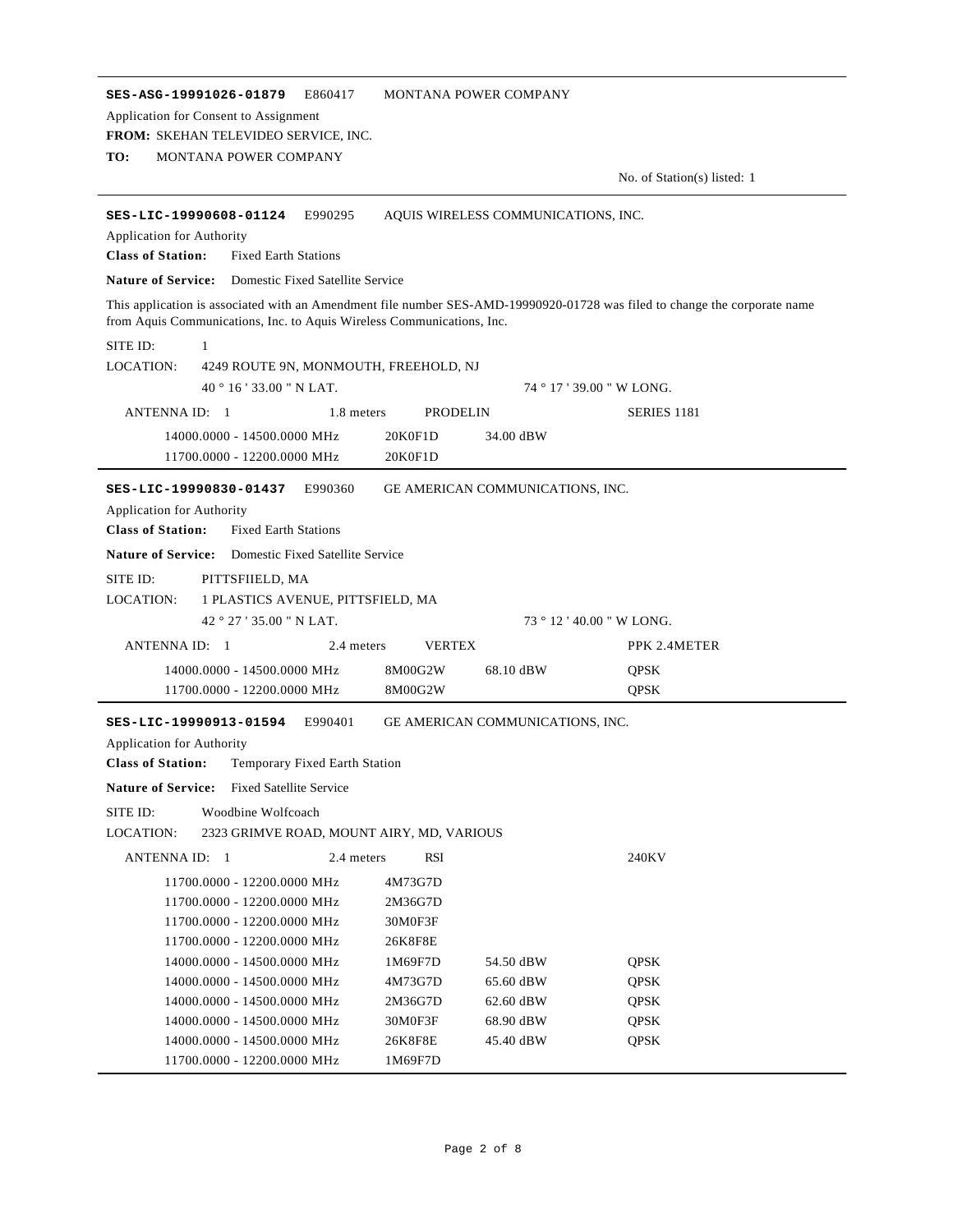**SES-ASG-19991026-01879** E860417 MONTANA POWER COMPANY **TO:** MONTANA POWER COMPANY **FROM:** SKEHAN TELEVIDEO SERVICE, INC. No. of Station(s) listed: 1 Application for Consent to Assignment **SES-LIC-19990608-01124** E990295 AQUIS WIRELESS COMMUNICATIONS, INC. **Class of Station:** Fixed Earth Stations Application for Authority **Nature of Service:** Domestic Fixed Satellite Service This application is associated with an Amendment file number SES-AMD-19990920-01728 was filed to change the corporate name from Aquis Communications, Inc. to Aquis Wireless Communications, Inc. LOCATION: 40 ° 16 ' 33.00 " N LAT. SITE ID: 1 4249 ROUTE 9N, MONMOUTH, FREEHOLD, NJ 74 ° 17 ' 39.00 " W LONG. ANTENNA ID: 1 1.8 meters PRODELIN SERIES 1181 14000.0000 - 14500.0000 MHz 20K0F1D 34.00 dBW 11700.0000 - 12200.0000 MHz 20K0F1D **SES-LIC-19990830-01437** E990360 GE AMERICAN COMMUNICATIONS, INC. **Class of Station:** Fixed Earth Stations Application for Authority **Nature of Service:** Domestic Fixed Satellite Service LOCATION: 42 ° 27 ' 35.00 " N LAT. SITE ID: PITTSFIIELD, MA 1 PLASTICS AVENUE, PITTSFIELD, MA 73 ° 12 ' 40.00 " W LONG. ANTENNA ID: 1 2.4 meters VERTEX PPK 2.4METER 14000.0000 - 14500.0000 MHz 8M00G2W 68.10 dBW QPSK 11700.0000 - 12200.0000 MHz 8M00G2W QPSK **SES-LIC-19990913-01594** E990401 GE AMERICAN COMMUNICATIONS, INC. **Class of Station:** Temporary Fixed Earth Station Application for Authority **Nature of Service:** Fixed Satellite Service LOCATION: SITE ID: Woodbine Wolfcoach 2323 GRIMVE ROAD, MOUNT AIRY, MD, VARIOUS ANTENNA ID: 1 2.4 meters RSI 240KV 11700.0000 - 12200.0000 MHz 4M73G7D 11700.0000 - 12200.0000 MHz 2M36G7D 11700.0000 - 12200.0000 MHz 30M0F3F 11700.0000 - 12200.0000 MHz 26K8F8E 14000.0000 - 14500.0000 MHz 1M69F7D 54.50 dBW QPSK 14000.0000 - 14500.0000 MHz 4M73G7D 65.60 dBW QPSK 14000.0000 - 14500.0000 MHz 2M36G7D 62.60 dBW QPSK 14000.0000 - 14500.0000 MHz 30M0F3F 68.90 dBW QPSK 14000.0000 - 14500.0000 MHz 26K8F8E 45.40 dBW QPSK 11700.0000 - 12200.0000 MHz 1M69F7D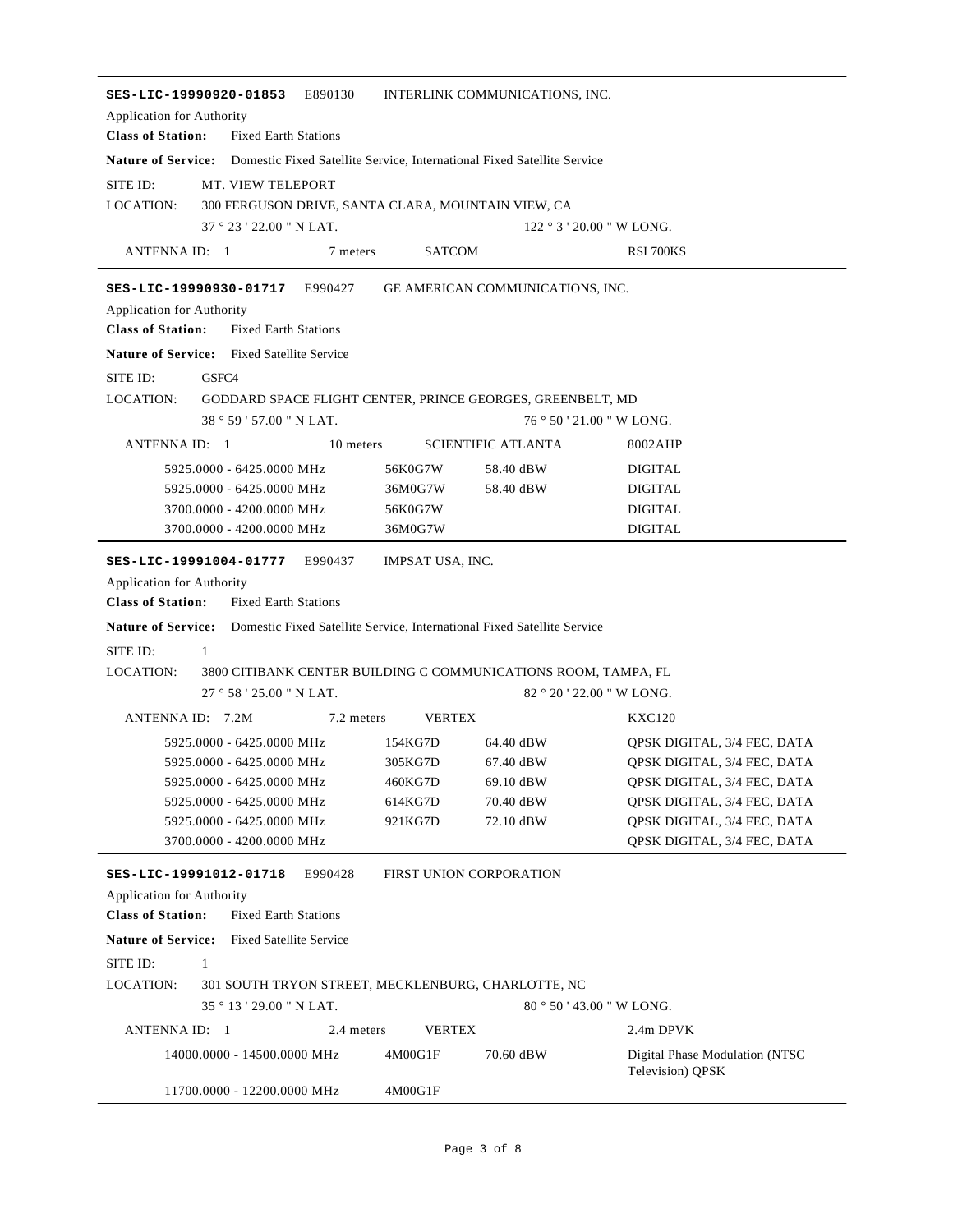| SES-LIC-19990920-01853<br>E890130<br>INTERLINK COMMUNICATIONS, INC.<br>Application for Authority   |                  |                                         |                                                            |  |  |
|----------------------------------------------------------------------------------------------------|------------------|-----------------------------------------|------------------------------------------------------------|--|--|
| <b>Class of Station:</b><br><b>Fixed Earth Stations</b>                                            |                  |                                         |                                                            |  |  |
| <b>Nature of Service:</b> Domestic Fixed Satellite Service, International Fixed Satellite Service  |                  |                                         |                                                            |  |  |
| SITE ID:<br><b>MT. VIEW TELEPORT</b>                                                               |                  |                                         |                                                            |  |  |
| <b>LOCATION:</b><br>300 FERGUSON DRIVE, SANTA CLARA, MOUNTAIN VIEW, CA                             |                  |                                         |                                                            |  |  |
| 37°23'22.00" N LAT.                                                                                |                  |                                         | $122°3'20.00''$ W LONG.                                    |  |  |
| ANTENNA ID: 1<br>7 meters                                                                          | <b>SATCOM</b>    |                                         | <b>RSI 700KS</b>                                           |  |  |
| SES-LIC-19990930-01717<br>E990427                                                                  |                  | <b>GE AMERICAN COMMUNICATIONS. INC.</b> |                                                            |  |  |
| Application for Authority                                                                          |                  |                                         |                                                            |  |  |
| <b>Class of Station:</b><br><b>Fixed Earth Stations</b>                                            |                  |                                         |                                                            |  |  |
| <b>Nature of Service:</b> Fixed Satellite Service                                                  |                  |                                         |                                                            |  |  |
| SITE ID:<br>GSFC4                                                                                  |                  |                                         |                                                            |  |  |
| <b>LOCATION:</b><br>GODDARD SPACE FLIGHT CENTER, PRINCE GEORGES, GREENBELT, MD                     |                  |                                         |                                                            |  |  |
| 38 ° 59 ' 57.00 " N LAT.                                                                           |                  |                                         | 76 ° 50 ' 21.00 " W LONG.                                  |  |  |
| ANTENNA ID: 1<br>10 meters                                                                         |                  | <b>SCIENTIFIC ATLANTA</b>               | 8002AHP                                                    |  |  |
| 5925.0000 - 6425.0000 MHz                                                                          | 56K0G7W          | 58.40 dBW                               | <b>DIGITAL</b>                                             |  |  |
| 5925.0000 - 6425.0000 MHz                                                                          | 36M0G7W          | 58.40 dBW                               | <b>DIGITAL</b>                                             |  |  |
| 3700.0000 - 4200.0000 MHz                                                                          | 56K0G7W          |                                         | <b>DIGITAL</b>                                             |  |  |
| 3700.0000 - 4200.0000 MHz                                                                          | 36M0G7W          |                                         | <b>DIGITAL</b>                                             |  |  |
| SES-LIC-19991004-01777<br>E990437                                                                  | IMPSAT USA, INC. |                                         |                                                            |  |  |
| Application for Authority                                                                          |                  |                                         |                                                            |  |  |
| <b>Class of Station:</b><br><b>Fixed Earth Stations</b>                                            |                  |                                         |                                                            |  |  |
| <b>Nature of Service:</b> Domestic Fixed Satellite Service, International Fixed Satellite Service  |                  |                                         |                                                            |  |  |
| SITE ID:<br>$\mathbf{1}$                                                                           |                  |                                         |                                                            |  |  |
| <b>LOCATION:</b><br>3800 CITIBANK CENTER BUILDING C COMMUNICATIONS ROOM, TAMPA, FL                 |                  |                                         |                                                            |  |  |
| 27°58'25.00"N LAT.                                                                                 |                  |                                         | 82 ° 20 ' 22.00 " W LONG.                                  |  |  |
| ANTENNA ID: 7.2M<br>7.2 meters                                                                     | <b>VERTEX</b>    |                                         | <b>KXC120</b>                                              |  |  |
| 5925.0000 - 6425.0000 MHz                                                                          | 154KG7D          | 64.40 dBW                               | QPSK DIGITAL, 3/4 FEC, DATA                                |  |  |
| 5925.0000 - 6425.0000 MHz                                                                          | 305KG7D          | 67.40 dBW                               | QPSK DIGITAL, 3/4 FEC, DATA                                |  |  |
| 5925.0000 - 6425.0000 MHz                                                                          | 460KG7D          | 69.10 dBW                               | QPSK DIGITAL, 3/4 FEC, DATA                                |  |  |
| 5925.0000 - 6425.0000 MHz                                                                          | 614KG7D          | 70.40 dBW                               | OPSK DIGITAL, 3/4 FEC, DATA                                |  |  |
| 5925.0000 - 6425.0000 MHz<br>3700.0000 - 4200.0000 MHz                                             | 921KG7D          | 72.10 dBW                               | OPSK DIGITAL, 3/4 FEC, DATA<br>QPSK DIGITAL, 3/4 FEC, DATA |  |  |
|                                                                                                    |                  |                                         |                                                            |  |  |
| E990428<br>SES-LIC-19991012-01718                                                                  |                  | FIRST UNION CORPORATION                 |                                                            |  |  |
| <b>Application for Authority</b>                                                                   |                  |                                         |                                                            |  |  |
| <b>Class of Station:</b><br><b>Fixed Earth Stations</b>                                            |                  |                                         |                                                            |  |  |
| <b>Nature of Service:</b><br><b>Fixed Satellite Service</b>                                        |                  |                                         |                                                            |  |  |
| SITE ID:<br>1                                                                                      |                  |                                         |                                                            |  |  |
| <b>LOCATION:</b><br>301 SOUTH TRYON STREET, MECKLENBURG, CHARLOTTE, NC<br>35 ° 13 ' 29.00 " N LAT. |                  |                                         |                                                            |  |  |
| $80^{\circ} 50' 43.00''$ W LONG.                                                                   |                  |                                         |                                                            |  |  |
| ANTENNA ID: 1<br>2.4 meters                                                                        | <b>VERTEX</b>    |                                         | 2.4m DPVK                                                  |  |  |
| 14000.0000 - 14500.0000 MHz                                                                        | 4M00G1F          | 70.60 dBW                               | Digital Phase Modulation (NTSC<br>Television) QPSK         |  |  |
|                                                                                                    |                  |                                         |                                                            |  |  |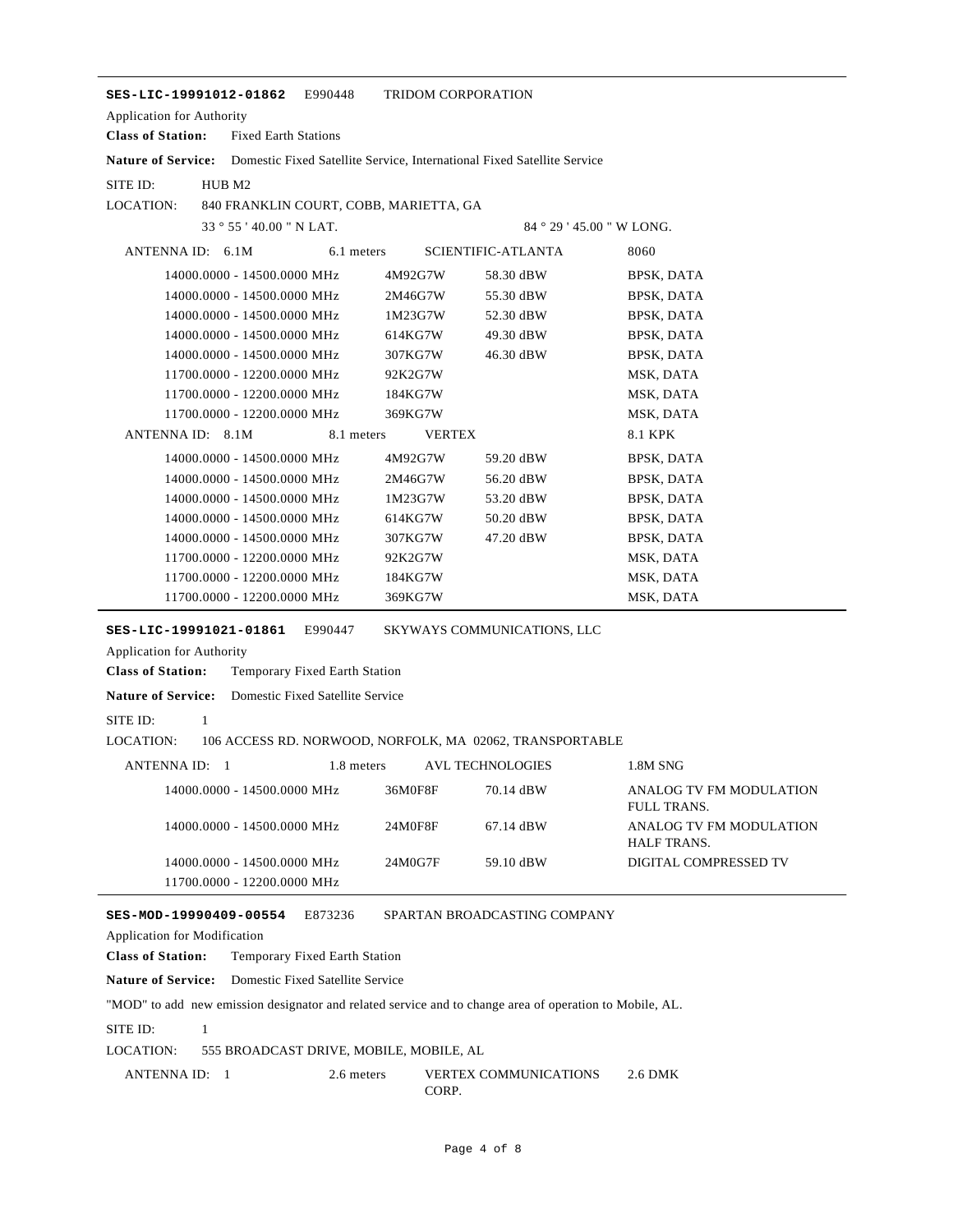| E990448<br>SES-LIC-19991012-01862                                                                                                                                                   | <b>TRIDOM CORPORATION</b> |                                                                         |                                               |
|-------------------------------------------------------------------------------------------------------------------------------------------------------------------------------------|---------------------------|-------------------------------------------------------------------------|-----------------------------------------------|
| Application for Authority                                                                                                                                                           |                           |                                                                         |                                               |
| <b>Class of Station:</b><br><b>Fixed Earth Stations</b>                                                                                                                             |                           |                                                                         |                                               |
| <b>Nature of Service:</b>                                                                                                                                                           |                           | Domestic Fixed Satellite Service, International Fixed Satellite Service |                                               |
| SITE ID:<br>HUB M2                                                                                                                                                                  |                           |                                                                         |                                               |
| LOCATION:<br>840 FRANKLIN COURT, COBB, MARIETTA, GA                                                                                                                                 |                           |                                                                         |                                               |
| 33 ° 55 ' 40.00 " N LAT.                                                                                                                                                            |                           | $84°29'45.00''$ W LONG.                                                 |                                               |
| ANTENNA ID: 6.1M                                                                                                                                                                    | 6.1 meters                | SCIENTIFIC-ATLANTA                                                      | 8060                                          |
| 14000.0000 - 14500.0000 MHz                                                                                                                                                         | 4M92G7W                   | 58.30 dBW                                                               | BPSK, DATA                                    |
| 14000.0000 - 14500.0000 MHz                                                                                                                                                         | 2M46G7W                   | 55.30 dBW                                                               | BPSK, DATA                                    |
| 14000.0000 - 14500.0000 MHz                                                                                                                                                         | 1M23G7W                   | 52.30 dBW                                                               | BPSK, DATA                                    |
| 14000.0000 - 14500.0000 MHz                                                                                                                                                         | 614KG7W                   | 49.30 dBW                                                               | <b>BPSK, DATA</b>                             |
| 14000.0000 - 14500.0000 MHz                                                                                                                                                         | 307KG7W                   | 46.30 dBW                                                               | BPSK, DATA                                    |
| 11700.0000 - 12200.0000 MHz                                                                                                                                                         | 92K2G7W                   |                                                                         | MSK, DATA                                     |
| 11700.0000 - 12200.0000 MHz                                                                                                                                                         | 184KG7W                   |                                                                         | MSK, DATA                                     |
| 11700.0000 - 12200.0000 MHz                                                                                                                                                         | 369KG7W                   |                                                                         | MSK, DATA                                     |
| ANTENNA ID: 8.1M<br>8.1 meters                                                                                                                                                      | <b>VERTEX</b>             |                                                                         | <b>8.1 KPK</b>                                |
| 14000.0000 - 14500.0000 MHz                                                                                                                                                         | 4M92G7W                   | 59.20 dBW                                                               | BPSK, DATA                                    |
| 14000.0000 - 14500.0000 MHz                                                                                                                                                         | 2M46G7W                   | 56.20 dBW                                                               | BPSK, DATA                                    |
| 14000.0000 - 14500.0000 MHz                                                                                                                                                         | 1M23G7W                   | 53.20 dBW                                                               | <b>BPSK, DATA</b>                             |
| 14000.0000 - 14500.0000 MHz                                                                                                                                                         | 614KG7W                   | 50.20 dBW                                                               | BPSK, DATA                                    |
| 14000.0000 - 14500.0000 MHz                                                                                                                                                         | 307KG7W                   | 47.20 dBW                                                               | BPSK, DATA                                    |
| 11700.0000 - 12200.0000 MHz                                                                                                                                                         | 92K2G7W                   |                                                                         | MSK, DATA                                     |
| 11700.0000 - 12200.0000 MHz                                                                                                                                                         | 184KG7W                   |                                                                         | MSK, DATA                                     |
| 11700.0000 - 12200.0000 MHz                                                                                                                                                         | 369KG7W                   |                                                                         | MSK, DATA                                     |
| Application for Authority<br><b>Class of Station:</b><br>Temporary Fixed Earth Station<br><b>Nature of Service:</b><br>Domestic Fixed Satellite Service<br>SITE ID:<br>$\mathbf{1}$ |                           |                                                                         |                                               |
| LOCATION:<br>106 ACCESS RD. NORWOOD, NORFOLK, MA 02062, TRANSPORTABLE                                                                                                               |                           |                                                                         |                                               |
| ANTENNA ID: 1                                                                                                                                                                       | 1.8 meters                | <b>AVL TECHNOLOGIES</b>                                                 | 1.8M SNG                                      |
| 14000.0000 - 14500.0000 MHz                                                                                                                                                         | 36M0F8F                   | 70.14 dBW                                                               | ANALOG TV FM MODULATION<br><b>FULL TRANS.</b> |
| 14000.0000 - 14500.0000 MHz                                                                                                                                                         | 24M0F8F                   | 67.14 dBW                                                               | ANALOG TV FM MODULATION<br>HALF TRANS.        |
| 14000.0000 - 14500.0000 MHz<br>11700.0000 - 12200.0000 MHz                                                                                                                          | 24M0G7F                   | 59.10 dBW                                                               | DIGITAL COMPRESSED TV                         |
| SES-MOD-19990409-00554<br>E873236<br>Application for Modification<br><b>Class of Station:</b><br>Temporary Fixed Earth Station                                                      |                           | SPARTAN BROADCASTING COMPANY                                            |                                               |
| <b>Nature of Service:</b><br>Domestic Fixed Satellite Service                                                                                                                       |                           |                                                                         |                                               |
| "MOD" to add new emission designator and related service and to change area of operation to Mobile, AL.                                                                             |                           |                                                                         |                                               |
| SITE ID:<br>$\mathbf{1}$                                                                                                                                                            |                           |                                                                         |                                               |
| LOCATION:<br>555 BROADCAST DRIVE, MOBILE, MOBILE, AL                                                                                                                                |                           |                                                                         |                                               |
|                                                                                                                                                                                     |                           |                                                                         |                                               |
| 2.6 meters<br>ANTENNA ID: 1                                                                                                                                                         | CORP.                     | VERTEX COMMUNICATIONS                                                   | 2.6 DMK                                       |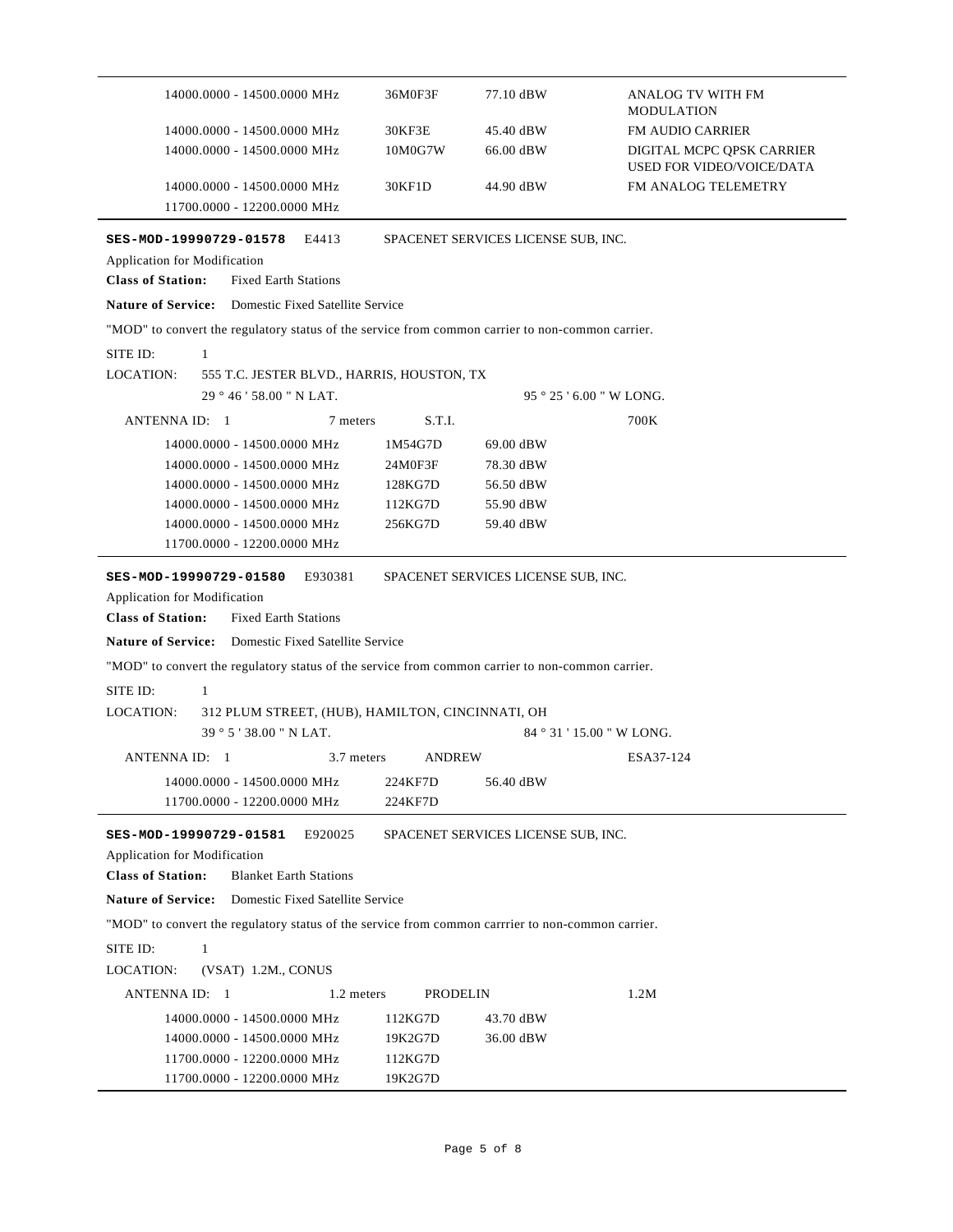| 14000.0000 - 14500.0000 MHz                                                                                                                                         | 36M0F3F            | 77.10 dBW                           | ANALOG TV WITH FM<br><b>MODULATION</b>                        |  |  |  |
|---------------------------------------------------------------------------------------------------------------------------------------------------------------------|--------------------|-------------------------------------|---------------------------------------------------------------|--|--|--|
| 14000.0000 - 14500.0000 MHz                                                                                                                                         | 30KF3E             | 45.40 dBW                           | <b>FM AUDIO CARRIER</b>                                       |  |  |  |
| 14000.0000 - 14500.0000 MHz                                                                                                                                         | 10M0G7W            | 66.00 dBW                           | DIGITAL MCPC QPSK CARRIER<br><b>USED FOR VIDEO/VOICE/DATA</b> |  |  |  |
| 14000.0000 - 14500.0000 MHz                                                                                                                                         | 30KF1D             | 44.90 dBW                           | FM ANALOG TELEMETRY                                           |  |  |  |
| 11700.0000 - 12200.0000 MHz                                                                                                                                         |                    |                                     |                                                               |  |  |  |
| E4413<br>SES-MOD-19990729-01578                                                                                                                                     |                    | SPACENET SERVICES LICENSE SUB, INC. |                                                               |  |  |  |
| Application for Modification                                                                                                                                        |                    |                                     |                                                               |  |  |  |
| <b>Class of Station:</b><br><b>Fixed Earth Stations</b>                                                                                                             |                    |                                     |                                                               |  |  |  |
| <b>Nature of Service:</b> Domestic Fixed Satellite Service                                                                                                          |                    |                                     |                                                               |  |  |  |
| "MOD" to convert the regulatory status of the service from common carrier to non-common carrier.                                                                    |                    |                                     |                                                               |  |  |  |
| SITE ID:<br>1                                                                                                                                                       |                    |                                     |                                                               |  |  |  |
| <b>LOCATION:</b><br>555 T.C. JESTER BLVD., HARRIS, HOUSTON, TX                                                                                                      |                    |                                     |                                                               |  |  |  |
| 29 ° 46 ' 58.00 " N LAT.                                                                                                                                            |                    |                                     | $95°25'6.00''$ W LONG.                                        |  |  |  |
| ANTENNA ID: 1<br>7 meters                                                                                                                                           | S.T.I.             |                                     | 700K                                                          |  |  |  |
| 14000.0000 - 14500.0000 MHz                                                                                                                                         |                    |                                     |                                                               |  |  |  |
| 14000.0000 - 14500.0000 MHz                                                                                                                                         | 1M54G7D<br>24M0F3F | 69.00 dBW<br>78.30 dBW              |                                                               |  |  |  |
| 14000.0000 - 14500.0000 MHz                                                                                                                                         | 128KG7D            | 56.50 dBW                           |                                                               |  |  |  |
| 14000.0000 - 14500.0000 MHz                                                                                                                                         | 112KG7D            | 55.90 dBW                           |                                                               |  |  |  |
| 14000.0000 - 14500.0000 MHz                                                                                                                                         | 256KG7D            | 59.40 dBW                           |                                                               |  |  |  |
| 11700.0000 - 12200.0000 MHz                                                                                                                                         |                    |                                     |                                                               |  |  |  |
| E930381<br>SPACENET SERVICES LICENSE SUB, INC.<br>SES-MOD-19990729-01580<br>Application for Modification<br><b>Class of Station:</b><br><b>Fixed Earth Stations</b> |                    |                                     |                                                               |  |  |  |
| <b>Nature of Service:</b> Domestic Fixed Satellite Service                                                                                                          |                    |                                     |                                                               |  |  |  |
| "MOD" to convert the regulatory status of the service from common carrier to non-common carrier.                                                                    |                    |                                     |                                                               |  |  |  |
| SITE ID:<br>$\mathbf{1}$                                                                                                                                            |                    |                                     |                                                               |  |  |  |
| <b>LOCATION:</b><br>312 PLUM STREET, (HUB), HAMILTON, CINCINNATI, OH                                                                                                |                    |                                     |                                                               |  |  |  |
| $39°5'38.00"$ N LAT.                                                                                                                                                |                    |                                     | 84 ° 31 ' 15.00 " W LONG.                                     |  |  |  |
| ANTENNA ID: 1<br>3.7 meters                                                                                                                                         | <b>ANDREW</b>      |                                     | ESA37-124                                                     |  |  |  |
| 14000.0000 - 14500.0000 MHz                                                                                                                                         | 224KF7D            | 56.40 dBW                           |                                                               |  |  |  |
| 11700.0000 - 12200.0000 MHz                                                                                                                                         | 224KF7D            |                                     |                                                               |  |  |  |
| SES-MOD-19990729-01581<br>E920025                                                                                                                                   |                    | SPACENET SERVICES LICENSE SUB, INC. |                                                               |  |  |  |
| Application for Modification                                                                                                                                        |                    |                                     |                                                               |  |  |  |
| <b>Class of Station:</b><br><b>Blanket Earth Stations</b>                                                                                                           |                    |                                     |                                                               |  |  |  |
| <b>Nature of Service:</b><br>Domestic Fixed Satellite Service                                                                                                       |                    |                                     |                                                               |  |  |  |
| "MOD" to convert the regulatory status of the service from common carrier to non-common carrier.                                                                    |                    |                                     |                                                               |  |  |  |
| SITE ID:<br>$\mathbf{1}$                                                                                                                                            |                    |                                     |                                                               |  |  |  |
| (VSAT) 1.2M., CONUS<br>LOCATION:                                                                                                                                    |                    |                                     |                                                               |  |  |  |
| ANTENNA ID: 1<br>1.2 meters                                                                                                                                         | <b>PRODELIN</b>    |                                     | 1.2M                                                          |  |  |  |
| 14000.0000 - 14500.0000 MHz                                                                                                                                         | 112KG7D            | 43.70 dBW                           |                                                               |  |  |  |
| 14000.0000 - 14500.0000 MHz                                                                                                                                         | 19K2G7D            | 36.00 dBW                           |                                                               |  |  |  |
| 11700.0000 - 12200.0000 MHz                                                                                                                                         | 112KG7D            |                                     |                                                               |  |  |  |
| 11700.0000 - 12200.0000 MHz                                                                                                                                         | 19K2G7D            |                                     |                                                               |  |  |  |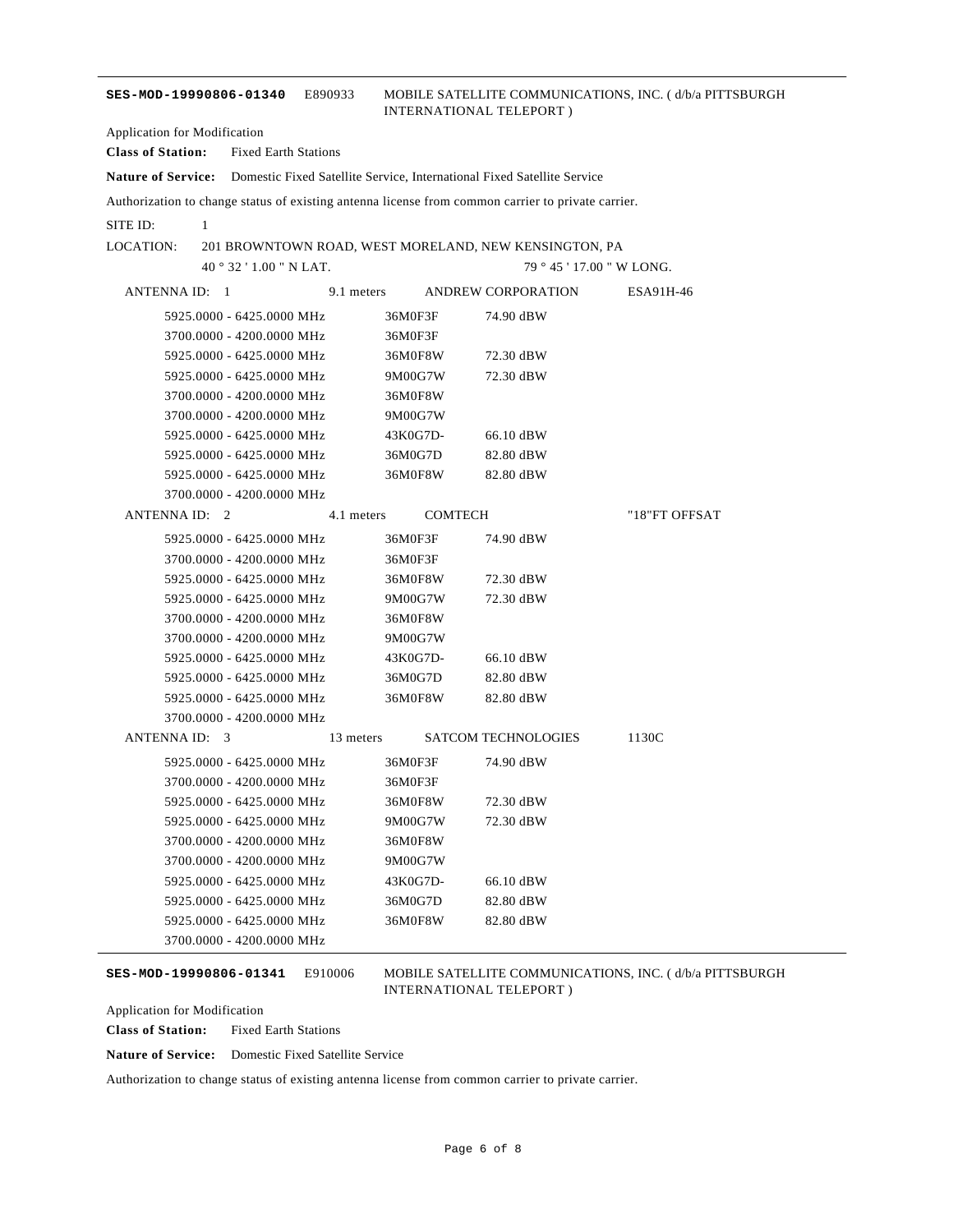#### **SES-MOD-19990806-01340** E890933 MOBILE SATELLITE COMMUNICATIONS, INC. ( d/b/a PITTSBURGH INTERNATIONAL TELEPORT )

Application for Modification

**Class of Station:** Fixed Earth Stations **Nature of Service:** Domestic Fixed Satellite Service, International Fixed Satellite Service

Authorization to change status of existing antenna license from common carrier to private carrier.

SITE ID: 1

LOCATION: 201 BROWNTOWN ROAD, WEST MORELAND, NEW KENSINGTON, PA

40 ° 32 ' 1.00 " N LAT.

79 ° 45 ' 17.00 " W LONG.

| ANTENNA ID: 1             | 9.1 meters | ANDREW CORPORATION         | ESA91H-46     |
|---------------------------|------------|----------------------------|---------------|
| 5925,0000 - 6425,0000 MHz | 36M0F3F    | 74.90 dBW                  |               |
| 3700.0000 - 4200.0000 MHz | 36M0F3F    |                            |               |
| 5925,0000 - 6425,0000 MHz | 36M0F8W    | 72.30 dBW                  |               |
| 5925,0000 - 6425,0000 MHz | 9M00G7W    | 72.30 dBW                  |               |
| 3700.0000 - 4200.0000 MHz | 36M0F8W    |                            |               |
| 3700.0000 - 4200.0000 MHz | 9M00G7W    |                            |               |
| 5925,0000 - 6425,0000 MHz | 43K0G7D-   | 66.10 dBW                  |               |
| 5925,0000 - 6425,0000 MHz | 36M0G7D    | 82.80 dBW                  |               |
| 5925,0000 - 6425,0000 MHz | 36M0F8W    | 82.80 dBW                  |               |
| 3700.0000 - 4200.0000 MHz |            |                            |               |
| ANTENNA ID: 2             | 4.1 meters | <b>COMTECH</b>             | "18"FT OFFSAT |
| 5925,0000 - 6425,0000 MHz | 36M0F3F    | 74.90 dBW                  |               |
| 3700.0000 - 4200.0000 MHz | 36M0F3F    |                            |               |
| 5925,0000 - 6425,0000 MHz | 36M0F8W    | 72.30 dBW                  |               |
| 5925.0000 - 6425.0000 MHz | 9M00G7W    | 72.30 dBW                  |               |
| 3700.0000 - 4200.0000 MHz | 36M0F8W    |                            |               |
| 3700.0000 - 4200.0000 MHz | 9M00G7W    |                            |               |
| 5925.0000 - 6425.0000 MHz | 43K0G7D-   | 66.10 dBW                  |               |
| 5925,0000 - 6425,0000 MHz | 36M0G7D    | 82.80 dBW                  |               |
| 5925,0000 - 6425,0000 MHz | 36M0F8W    | 82.80 dBW                  |               |
| 3700.0000 - 4200.0000 MHz |            |                            |               |
| ANTENNA ID: 3             | 13 meters  | <b>SATCOM TECHNOLOGIES</b> | 1130C         |
| 5925,0000 - 6425,0000 MHz | 36M0F3F    | 74.90 dBW                  |               |
| 3700.0000 - 4200.0000 MHz | 36M0F3F    |                            |               |
| 5925.0000 - 6425.0000 MHz | 36M0F8W    | 72.30 dBW                  |               |
| 5925,0000 - 6425,0000 MHz | 9M00G7W    | 72.30 dBW                  |               |
| 3700.0000 - 4200.0000 MHz | 36M0F8W    |                            |               |
| 3700.0000 - 4200.0000 MHz | 9M00G7W    |                            |               |
| 5925,0000 - 6425,0000 MHz | 43K0G7D-   | 66.10 dBW                  |               |
| 5925,0000 - 6425,0000 MHz | 36M0G7D    | 82.80 dBW                  |               |
| 5925.0000 - 6425.0000 MHz | 36M0F8W    | 82.80 dBW                  |               |
| 3700.0000 - 4200.0000 MHz |            |                            |               |

**SES-MOD-19990806-01341** E910006 MOBILE SATELLITE COMMUNICATIONS, INC. ( d/b/a PITTSBURGH INTERNATIONAL TELEPORT )

Application for Modification

**Class of Station:** Fixed Earth Stations

**Nature of Service:** Domestic Fixed Satellite Service

Authorization to change status of existing antenna license from common carrier to private carrier.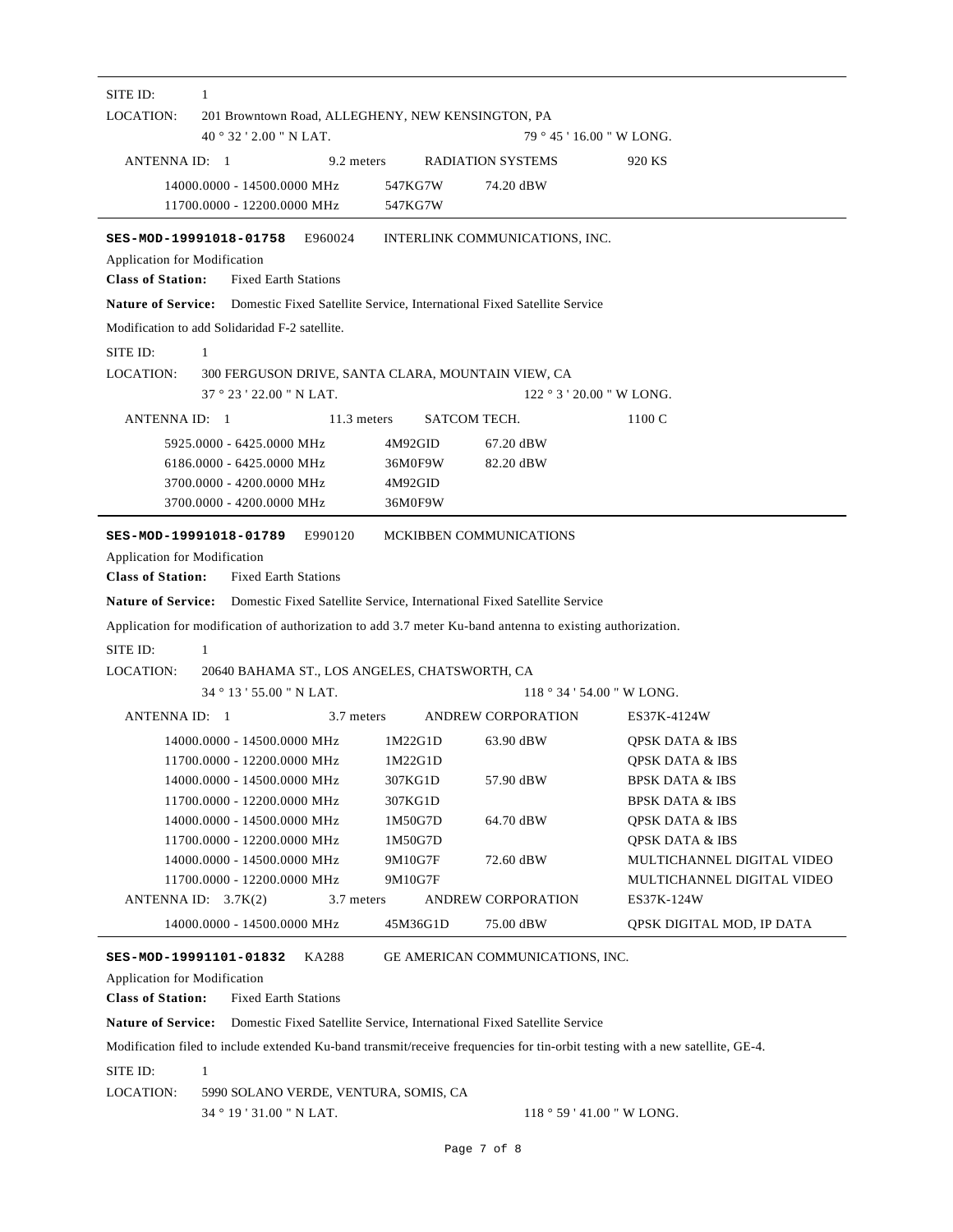| SITE ID:<br>1                                                                                                                                                                                                                                                                                                                         |                                                                    |                                                                                                                      |  |  |  |  |
|---------------------------------------------------------------------------------------------------------------------------------------------------------------------------------------------------------------------------------------------------------------------------------------------------------------------------------------|--------------------------------------------------------------------|----------------------------------------------------------------------------------------------------------------------|--|--|--|--|
| LOCATION:<br>201 Browntown Road, ALLEGHENY, NEW KENSINGTON, PA                                                                                                                                                                                                                                                                        |                                                                    |                                                                                                                      |  |  |  |  |
| $40^{\circ}32'2.00''$ N LAT.                                                                                                                                                                                                                                                                                                          |                                                                    | 79 ° 45 ' 16.00 " W LONG.                                                                                            |  |  |  |  |
| ANTENNA ID: 1<br>9.2 meters                                                                                                                                                                                                                                                                                                           | RADIATION SYSTEMS                                                  | 920 KS                                                                                                               |  |  |  |  |
| 14000.0000 - 14500.0000 MHz<br>11700.0000 - 12200.0000 MHz                                                                                                                                                                                                                                                                            | 547KG7W<br>74.20 dBW<br>547KG7W                                    |                                                                                                                      |  |  |  |  |
| SES-MOD-19991018-01758<br>E960024<br>Application for Modification<br><b>Class of Station:</b><br><b>Fixed Earth Stations</b>                                                                                                                                                                                                          | INTERLINK COMMUNICATIONS, INC.                                     |                                                                                                                      |  |  |  |  |
| <b>Nature of Service:</b> Domestic Fixed Satellite Service, International Fixed Satellite Service                                                                                                                                                                                                                                     |                                                                    |                                                                                                                      |  |  |  |  |
| Modification to add Solidaridad F-2 satellite.                                                                                                                                                                                                                                                                                        |                                                                    |                                                                                                                      |  |  |  |  |
| SITE ID:<br>$\mathbf{1}$                                                                                                                                                                                                                                                                                                              |                                                                    |                                                                                                                      |  |  |  |  |
| LOCATION:                                                                                                                                                                                                                                                                                                                             | 300 FERGUSON DRIVE, SANTA CLARA, MOUNTAIN VIEW, CA                 |                                                                                                                      |  |  |  |  |
| 37°23'22.00" N LAT.                                                                                                                                                                                                                                                                                                                   |                                                                    | $122 \degree 3 \degree 20.00 \degree W$ LONG.                                                                        |  |  |  |  |
| ANTENNA ID: 1<br>11.3 meters                                                                                                                                                                                                                                                                                                          | SATCOM TECH.                                                       | 1100 C                                                                                                               |  |  |  |  |
| 5925,0000 - 6425,0000 MHz<br>6186.0000 - 6425.0000 MHz<br>3700.0000 - 4200.0000 MHz<br>3700.0000 - 4200.0000 MHz                                                                                                                                                                                                                      | 4M92GID<br>67.20 dBW<br>36M0F9W<br>82.20 dBW<br>4M92GID<br>36M0F9W |                                                                                                                      |  |  |  |  |
| Application for Modification<br><b>Class of Station:</b><br><b>Fixed Earth Stations</b><br><b>Nature of Service:</b> Domestic Fixed Satellite Service, International Fixed Satellite Service<br>Application for modification of authorization to add 3.7 meter Ku-band antenna to existing authorization.<br>$\mathbf{1}$<br>SITE ID: |                                                                    |                                                                                                                      |  |  |  |  |
| LOCATION:<br>20640 BAHAMA ST., LOS ANGELES, CHATSWORTH, CA                                                                                                                                                                                                                                                                            |                                                                    |                                                                                                                      |  |  |  |  |
| 34°13'55.00" N LAT.                                                                                                                                                                                                                                                                                                                   |                                                                    | $118°34'54.00''$ W LONG.                                                                                             |  |  |  |  |
| ANTENNA ID: 1<br>3.7 meters                                                                                                                                                                                                                                                                                                           | ANDREW CORPORATION                                                 | ES37K-4124W                                                                                                          |  |  |  |  |
| 14000.0000 - 14500.0000 MHz<br>11700.0000 - 12200.0000 MHz<br>14000.0000 - 14500.0000 MHz<br>11700.0000 - 12200.0000 MHz                                                                                                                                                                                                              | 1M22G1D<br>63.90 dBW<br>1M22G1D<br>57.90 dBW<br>307KG1D<br>307KG1D | <b>OPSK DATA &amp; IBS</b><br><b>QPSK DATA &amp; IBS</b><br><b>BPSK DATA &amp; IBS</b><br><b>BPSK DATA &amp; IBS</b> |  |  |  |  |
| 14000.0000 - 14500.0000 MHz                                                                                                                                                                                                                                                                                                           | 1M50G7D<br>64.70 dBW                                               | <b>QPSK DATA &amp; IBS</b>                                                                                           |  |  |  |  |
| 11700.0000 - 12200.0000 MHz<br>14000.0000 - 14500.0000 MHz<br>11700.0000 - 12200.0000 MHz<br>ANTENNA ID: $3.7K(2)$<br>3.7 meters                                                                                                                                                                                                      | 1M50G7D<br>9M10G7F<br>72.60 dBW<br>9M10G7F<br>ANDREW CORPORATION   | <b>OPSK DATA &amp; IBS</b><br>MULTICHANNEL DIGITAL VIDEO<br>MULTICHANNEL DIGITAL VIDEO<br>ES37K-124W                 |  |  |  |  |
| 14000.0000 - 14500.0000 MHz                                                                                                                                                                                                                                                                                                           | 45M36G1D<br>75.00 dBW                                              | QPSK DIGITAL MOD, IP DATA                                                                                            |  |  |  |  |
| SES-MOD-19991101-01832<br>KA288<br>Application for Modification<br><b>Class of Station:</b><br><b>Fixed Earth Stations</b>                                                                                                                                                                                                            | GE AMERICAN COMMUNICATIONS, INC.                                   |                                                                                                                      |  |  |  |  |

**Nature of Service:** Domestic Fixed Satellite Service, International Fixed Satellite Service

Modification filed to include extended Ku-band transmit/receive frequencies for tin-orbit testing with a new satellite, GE-4.

LOCATION: 34 ° 19 ' 31.00 " N LAT. SITE ID: 1 5990 SOLANO VERDE, VENTURA, SOMIS, CA 118 ° 59 ' 41.00 " W LONG.